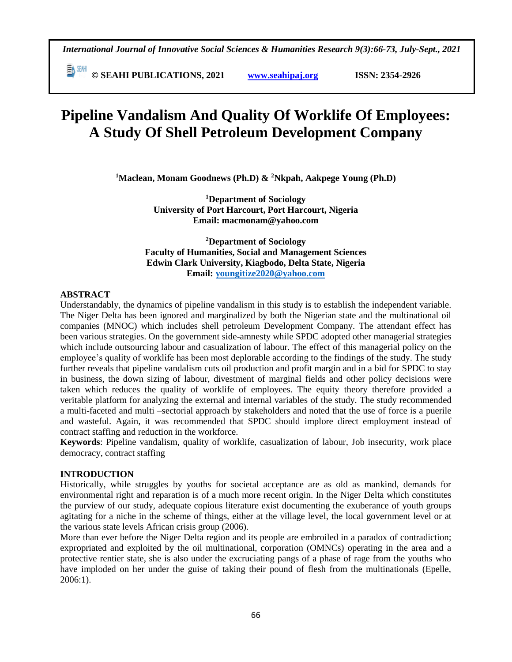**© SEAHI PUBLICATIONS, 2021 [www.seahipaj.org](http://www.seahipaj.org/) ISSN: 2354-2926** 

# **Pipeline Vandalism And Quality Of Worklife Of Employees: A Study Of Shell Petroleum Development Company**

**<sup>1</sup>Maclean, Monam Goodnews (Ph.D) & <sup>2</sup>Nkpah, Aakpege Young (Ph.D)**

**<sup>1</sup>Department of Sociology University of Port Harcourt, Port Harcourt, Nigeria Email: macmonam@yahoo.com** 

**<sup>2</sup>Department of Sociology Faculty of Humanities, Social and Management Sciences Edwin Clark University, Kiagbodo, Delta State, Nigeria Email: [youngitize2020@yahoo.com](mailto:youngitize2020@yahoo.com)**

#### **ABSTRACT**

Understandably, the dynamics of pipeline vandalism in this study is to establish the independent variable. The Niger Delta has been ignored and marginalized by both the Nigerian state and the multinational oil companies (MNOC) which includes shell petroleum Development Company. The attendant effect has been various strategies. On the government side-amnesty while SPDC adopted other managerial strategies which include outsourcing labour and casualization of labour. The effect of this managerial policy on the employee's quality of worklife has been most deplorable according to the findings of the study. The study further reveals that pipeline vandalism cuts oil production and profit margin and in a bid for SPDC to stay in business, the down sizing of labour, divestment of marginal fields and other policy decisions were taken which reduces the quality of worklife of employees. The equity theory therefore provided a veritable platform for analyzing the external and internal variables of the study. The study recommended a multi-faceted and multi –sectorial approach by stakeholders and noted that the use of force is a puerile and wasteful. Again, it was recommended that SPDC should implore direct employment instead of contract staffing and reduction in the workforce.

**Keywords**: Pipeline vandalism, quality of worklife, casualization of labour, Job insecurity, work place democracy, contract staffing

#### **INTRODUCTION**

Historically, while struggles by youths for societal acceptance are as old as mankind, demands for environmental right and reparation is of a much more recent origin. In the Niger Delta which constitutes the purview of our study, adequate copious literature exist documenting the exuberance of youth groups agitating for a niche in the scheme of things, either at the village level, the local government level or at the various state levels African crisis group (2006).

More than ever before the Niger Delta region and its people are embroiled in a paradox of contradiction; expropriated and exploited by the oil multinational, corporation (OMNCs) operating in the area and a protective rentier state, she is also under the excruciating pangs of a phase of rage from the youths who have imploded on her under the guise of taking their pound of flesh from the multinationals (Epelle, 2006:1).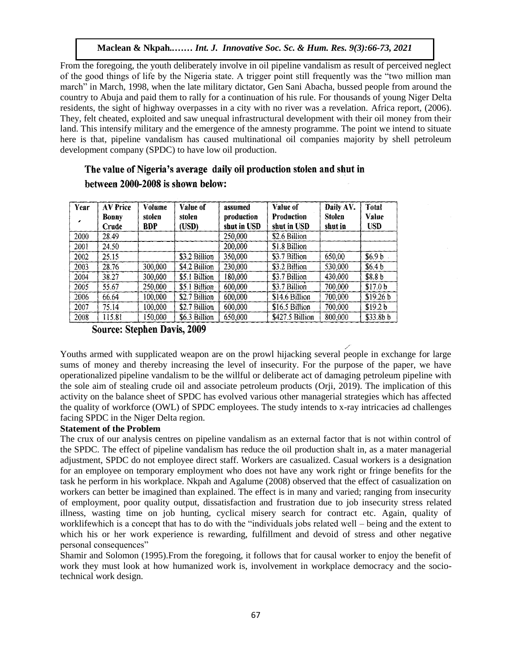From the foregoing, the youth deliberately involve in oil pipeline vandalism as result of perceived neglect of the good things of life by the Nigeria state. A trigger point still frequently was the "two million man march" in March, 1998, when the late military dictator, Gen Sani Abacha, bussed people from around the country to Abuja and paid them to rally for a continuation of his rule. For thousands of young Niger Delta residents, the sight of highway overpasses in a city with no river was a revelation. Africa report, (2006). They, felt cheated, exploited and saw unequal infrastructural development with their oil money from their They, felt cheated, exploited and saw unequal infrastructural development with their on money from their<br>land. This intensify military and the emergence of the amnesty programme. The point we intend to situate here is that, pipeline vandalism has caused multinational oil companies majority by shell petroleum development company (SPDC) to have low oil production.

| Year<br>, | <b>AV Price</b><br>Bonny<br>Crude | <b>Volume</b><br>stolen<br>BDP | Value of<br>stolen<br>USD) | assumed<br>production<br>shut in USD | Value of<br><b>Production</b><br>shut in USD | Daily AV.<br>Stolen<br>shut in | Total<br>Value<br><b>USD</b> |
|-----------|-----------------------------------|--------------------------------|----------------------------|--------------------------------------|----------------------------------------------|--------------------------------|------------------------------|
| 2000      | 28.49                             |                                |                            | 250,000                              | \$2.6 Billion                                |                                |                              |
| 2001      | 24.50                             |                                |                            | 200,000                              | \$1.8 Billion                                |                                |                              |
| 2002      | 25.15                             |                                | \$3.2 Billion              | 350,000                              | \$3.7 Billion                                | 650,00                         | \$6.9 b                      |
| 2003      | 28.76                             | 300,000                        | \$4.2 Billion              | 230,000                              | \$3.2 Billion                                | 530,000                        | \$6.4 b                      |
| 2004      | 38.27                             | 300,000                        | \$5.1 Billion              | 180,000                              | \$3.7 Billion                                | 430,000                        | \$8.8 b                      |
| 2005      | 55.67                             | 250,000                        | \$5.1 Billion              | 600,000                              | \$3.7 Billion                                | 700,000                        | \$17.0 <sub>b</sub>          |
| 2006      | 66.64                             | 100,000                        | \$2.7 Billion              | 600,000                              | \$14.6 Billion                               | 700,000                        | \$19.26 b                    |
| 2007      | 75.14                             | 100,000                        | \$2.7 Billion              | 600,000                              | \$16.5 Billion                               | 700,000                        | \$19.2 b                     |
| 2008      | 115.81                            | 150.000                        | \$6.3 Billion              | 650,000                              | \$427.5 Billion                              | 800,000                        | \$33.8 <sub>b</sub> b        |

### The value of Nigeria's average daily oil production stolen and shut in between 2000-2008 is shown below:

**Source: Stephen Davis, 2009** 

Youths armed with supplicated weapon are on the prowl hijacking several people in exchange for large sums of money and thereby increasing the level of insecurity. For the purpose of the paper, we have operationalized pipeline vandalism to be the willful or deliberate act of damaging petroleum pipeline with the sole aim of stealing crude oil and associate petroleum products (Orji, 2019). The implication of this activity on the balance sheet of SPDC has evolved various other managerial strategies which has affected the quality of workforce (OWL) of SPDC employees. The study intends to x-ray intricacies ad challenges facing SPDC in the Niger Delta region.

#### **Statement of the Problem**

The crux of our analysis centres on pipeline vandalism as an external factor that is not within control of the SPDC. The effect of pipeline vandalism has reduce the oil production shalt in, as a mater managerial adjustment, SPDC do not employee direct staff. Workers are casualized. Casual workers is a designation for an employee on temporary employment who does not have any work right or fringe benefits for the task he perform in his workplace. Nkpah and Agalume (2008) observed that the effect of casualization on workers can better be imagined than explained. The effect is in many and varied; ranging from insecurity of employment, poor quality output, dissatisfaction and frustration due to job insecurity stress related illness, wasting time on job hunting, cyclical misery search for contract etc. Again, quality of worklifewhich is a concept that has to do with the "individuals jobs related well – being and the extent to which his or her work experience is rewarding, fulfillment and devoid of stress and other negative personal consequences"

Shamir and Solomon (1995).From the foregoing, it follows that for causal worker to enjoy the benefit of work they must look at how humanized work is, involvement in workplace democracy and the sociotechnical work design.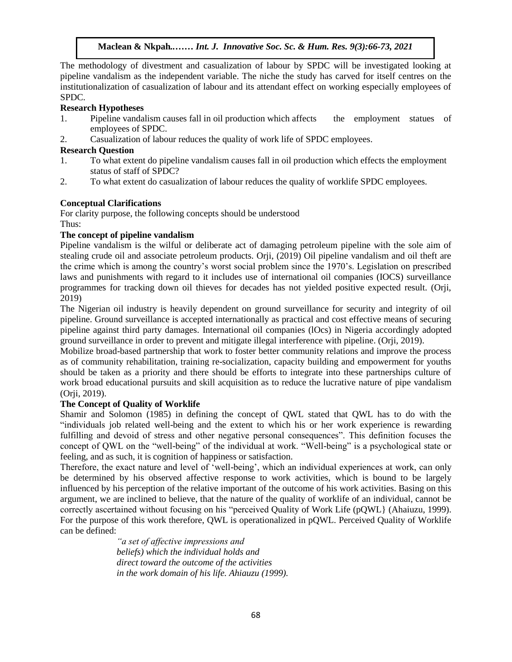The methodology of divestment and casualization of labour by SPDC will be investigated looking at pipeline vandalism as the independent variable. The niche the study has carved for itself centres on the institutionalization of casualization of labour and its attendant effect on working especially employees of SPDC.

#### **Research Hypotheses**

- 1. Pipeline vandalism causes fall in oil production which affects the employment statues of employees of SPDC.
- 2. Casualization of labour reduces the quality of work life of SPDC employees.

#### **Research Question**

- 1. To what extent do pipeline vandalism causes fall in oil production which effects the employment status of staff of SPDC?
- 2. To what extent do casualization of labour reduces the quality of worklife SPDC employees.

## **Conceptual Clarifications**

For clarity purpose, the following concepts should be understood Thus:

#### **The concept of pipeline vandalism**

Pipeline vandalism is the wilful or deliberate act of damaging petroleum pipeline with the sole aim of stealing crude oil and associate petroleum products. Orji, (2019) Oil pipeline vandalism and oil theft are the crime which is among the country's worst social problem since the 1970's. Legislation on prescribed laws and punishments with regard to it includes use of international oil companies (IOCS) surveillance programmes for tracking down oil thieves for decades has not yielded positive expected result. (Orji, 2019)

The Nigerian oil industry is heavily dependent on ground surveillance for security and integrity of oil pipeline. Ground surveillance is accepted internationally as practical and cost effective means of securing pipeline against third party damages. International oil companies (lOcs) in Nigeria accordingly adopted ground surveillance in order to prevent and mitigate illegal interference with pipeline. (Orji, 2019).

Mobilize broad-based partnership that work to foster better community relations and improve the process as of community rehabilitation, training re-socialization, capacity building and empowerment for youths should be taken as a priority and there should be efforts to integrate into these partnerships culture of work broad educational pursuits and skill acquisition as to reduce the lucrative nature of pipe vandalism (Orji, 2019).

#### **The Concept of Quality of Worklife**

Shamir and Solomon (1985) in defining the concept of QWL stated that QWL has to do with the "individuals job related well-being and the extent to which his or her work experience is rewarding fulfilling and devoid of stress and other negative personal consequences". This definition focuses the concept of QWL on the "well-being" of the individual at work. "Well-being" is a psychological state or feeling, and as such, it is cognition of happiness or satisfaction.

Therefore, the exact nature and level of 'well-being', which an individual experiences at work, can only be determined by his observed affective response to work activities, which is bound to be largely influenced by his perception of the relative important of the outcome of his work activities. Basing on this argument, we are inclined to believe, that the nature of the quality of worklife of an individual, cannot be correctly ascertained without focusing on his "perceived Quality of Work Life (pQWL} (Ahaiuzu, 1999). For the purpose of this work therefore, QWL is operationalized in pQWL. Perceived Quality of Worklife can be defined:

> *"a set of affective impressions and beliefs) which the individual holds and direct toward the outcome of the activities in the work domain of his life. Ahiauzu (1999).*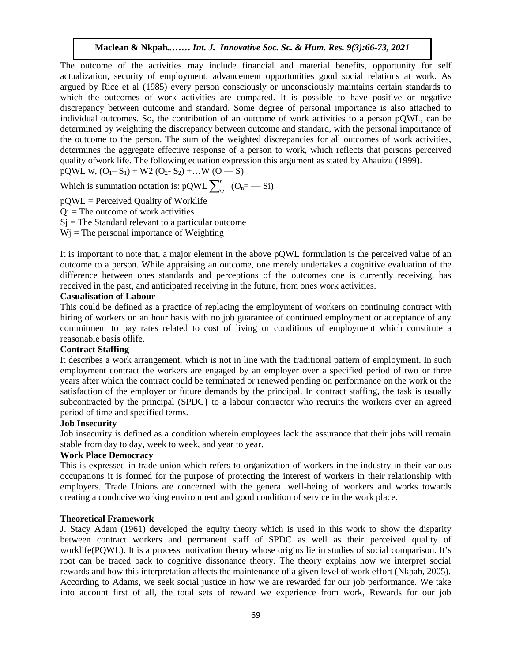The outcome of the activities may include financial and material benefits, opportunity for self actualization, security of employment, advancement opportunities good social relations at work. As argued by Rice et al (1985) every person consciously or unconsciously maintains certain standards to which the outcomes of work activities are compared. It is possible to have positive or negative discrepancy between outcome and standard. Some degree of personal importance is also attached to individual outcomes. So, the contribution of an outcome of work activities to a person pQWL, can be determined by weighting the discrepancy between outcome and standard, with the personal importance of the outcome to the person. The sum of the weighted discrepancies for all outcomes of work activities, determines the aggregate effective response of a person to work, which reflects that persons perceived quality ofwork life. The following equation expression this argument as stated by Ahauizu (1999).

 $pQWL$  w,  $(O_1 - S_1) + W2 (O_2 - S_2) + ... W (O - S)$ 

Which is summation notation is:  $pQWL \sum_{n=1}^{n}$  $w_{w}$  (O<sub>n</sub> = - Si)

 $pQWL =$  Perceived Quality of Worklife  $Qi$  = The outcome of work activities  $Si$  = The Standard relevant to a particular outcome  $Wj$  = The personal importance of Weighting

It is important to note that, a major element in the above pQWL formulation is the perceived value of an outcome to a person. While appraising an outcome, one merely undertakes a cognitive evaluation of the difference between ones standards and perceptions of the outcomes one is currently receiving, has received in the past, and anticipated receiving in the future, from ones work activities.

#### **Casualisation of Labour**

This could be defined as a practice of replacing the employment of workers on continuing contract with hiring of workers on an hour basis with no job guarantee of continued employment or acceptance of any commitment to pay rates related to cost of living or conditions of employment which constitute a reasonable basis oflife.

#### **Contract Staffing**

It describes a work arrangement, which is not in line with the traditional pattern of employment. In such employment contract the workers are engaged by an employer over a specified period of two or three years after which the contract could be terminated or renewed pending on performance on the work or the satisfaction of the employer or future demands by the principal. In contract staffing, the task is usually subcontracted by the principal (SPDC} to a labour contractor who recruits the workers over an agreed period of time and specified terms.

#### **Job Insecurity**

Job insecurity is defined as a condition wherein employees lack the assurance that their jobs will remain stable from day to day, week to week, and year to year.

#### **Work Place Democracy**

This is expressed in trade union which refers to organization of workers in the industry in their various occupations it is formed for the purpose of protecting the interest of workers in their relationship with employers. Trade Unions are concerned with the general well-being of workers and works towards creating a conducive working environment and good condition of service in the work place.

#### **Theoretical Framework**

J. Stacy Adam (1961) developed the equity theory which is used in this work to show the disparity between contract workers and permanent staff of SPDC as well as their perceived quality of worklife(PQWL). It is a process motivation theory whose origins lie in studies of social comparison. It's root can be traced back to cognitive dissonance theory. The theory explains how we interpret social rewards and how this interpretation affects the maintenance of a given level of work effort (Nkpah, 2005). According to Adams, we seek social justice in how we are rewarded for our job performance. We take into account first of all, the total sets of reward we experience from work, Rewards for our job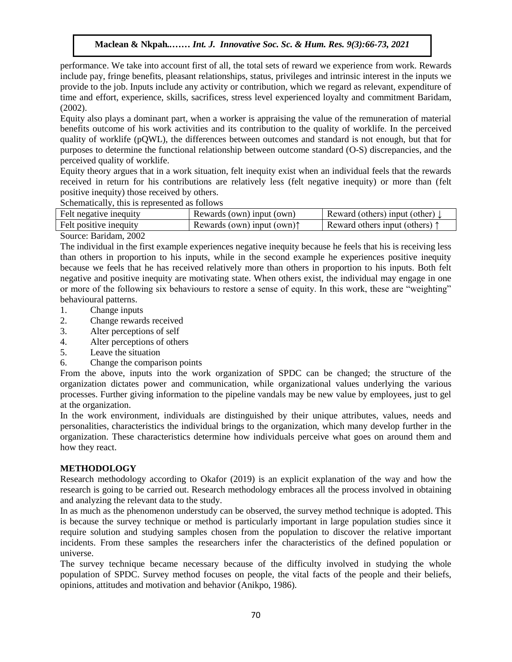performance. We take into account first of all, the total sets of reward we experience from work. Rewards include pay, fringe benefits, pleasant relationships, status, privileges and intrinsic interest in the inputs we merade pay, tringe benefits, preasant relationships, status, privileges and intrinsic interest in the liptus we<br>provide to the job. Inputs include any activity or contribution, which we regard as relevant, expenditure of time and effort, experience, skills, sacrifices, stress level experienced loyalty and commitment Baridam, (2002).

Equity also plays a dominant part, when a worker is appraising the value of the remuneration of material benefits outcome of his work activities and its contribution to the quality of worklife. In the perceived quality of worklife (pQWL), the differences between outcomes and standard is not enough, but that for purposes to determine the functional relationship between outcome standard (O-S) discrepancies, and the perceived quality of worklife.

Equity theory argues that in a work situation, felt inequity exist when an individual feels that the rewards received in return for his contributions are relatively less (felt negative inequity) or more than (felt positive inequity) those received by others.

Schematically, this is represented as follows

| Felt negative inequity | Rewards (own) input (own)            | Reward (others) input (other) $\downarrow$ |
|------------------------|--------------------------------------|--------------------------------------------|
| Felt positive inequity | Rewards (own) input (own) $\uparrow$ | Reward others input (others) $\uparrow$    |
| Source: Baridam, 2002  |                                      |                                            |

The individual in the first example experiences negative inequity because he feels that his is receiving less than others in proportion to his inputs, while in the second example he experiences positive inequity because we feels that he has received relatively more than others in proportion to his inputs. Both felt negative and positive inequity are motivating state. When others exist, the individual may engage in one or more of the following six behaviours to restore a sense of equity. In this work, these are "weighting" behavioural patterns.

- 1. Change inputs
- 2. Change rewards received
- 3. Alter perceptions of self
- 4. Alter perceptions of others
- 5. Leave the situation
- 6. Change the comparison points

From the above, inputs into the work organization of SPDC can be changed; the structure of the organization dictates power and communication, while organizational values underlying the various processes. Further giving information to the pipeline vandals may be new value by employees, just to gel at the organization.

In the work environment, individuals are distinguished by their unique attributes, values, needs and personalities, characteristics the individual brings to the organization, which many develop further in the organization. These characteristics determine how individuals perceive what goes on around them and how they react.

### **METHODOLOGY**

Research methodology according to Okafor (2019) is an explicit explanation of the way and how the research is going to be carried out. Research methodology embraces all the process involved in obtaining and analyzing the relevant data to the study.

In as much as the phenomenon understudy can be observed, the survey method technique is adopted. This is because the survey technique or method is particularly important in large population studies since it require solution and studying samples chosen from the population to discover the relative important incidents. From these samples the researchers infer the characteristics of the defined population or universe.

The survey technique became necessary because of the difficulty involved in studying the whole population of SPDC. Survey method focuses on people, the vital facts of the people and their beliefs, opinions, attitudes and motivation and behavior (Anikpo, 1986).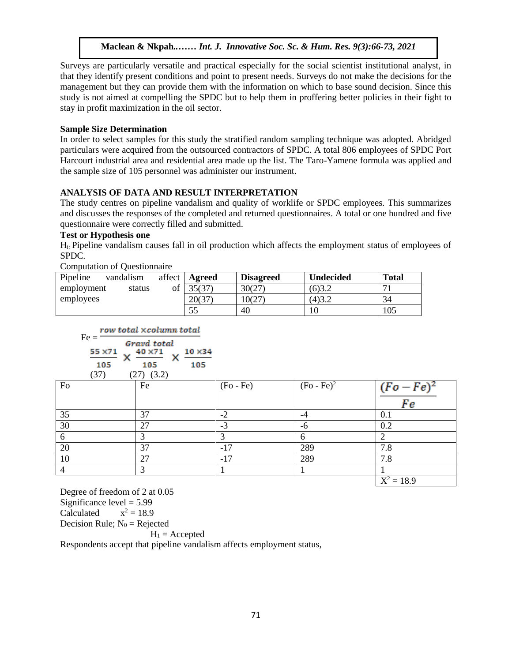Surveys are particularly versatile and practical especially for the social scientist institutional analyst, in that they identify present conditions and point to present needs. Surveys do not make the decisions for the management but they can provide them with the information on which to base sound decision. Since this study is not aimed at compelling the SPDC but to help them in proffering better policies in their fight to stay in profit maximization in the oil sector.

#### **Sample Size Determination**  $\alpha$  is  $\mathcal{D}$ . In the social society social social social social social social social social social social social social social social social social social social social social social social social social social social

In order to select samples for this study the stratified random sampling technique was adopted. Abridged particulars were acquired from the outsourced contractors of SPDC. A total 806 employees of SPDC Port Harcourt industrial area and residential area made up the list. The Taro-Yamene formula was applied and the sample size of 105 personnel was administer our instrument.

#### **ANALYSIS OF DATA AND RESULT INTERPRETATION**

AINALT SIS OF DATA AND RESULT INTERFRETATION<br>The study centres on pipeline vandalism and quality of worklife or SPDC employees. This summarizes and discusses the responses of the completed and returned questionnaires. A total or one hundred and five questionnaire were correctly filled and submitted.

#### **Test or Hypothesis one**

Hi: Pipeline vandalism causes fall in oil production which affects the employment status of employees of SPDC.

| <b>Computation of Questionnaire</b> |              |        |                  |                  |              |
|-------------------------------------|--------------|--------|------------------|------------------|--------------|
| Pipeline<br>vandalism               | affect       | Agreed | <b>Disagreed</b> | <b>Undecided</b> | <b>Total</b> |
| employment                          | of<br>status | 35(37) | 30(27)           | (6)3.2           |              |
| employees                           |              | 20(37) | 10(27)           | (4)3.2           | 34           |
|                                     |              | 55     | 40               | 10               | 105          |

|         | row total ×column total |  |
|---------|-------------------------|--|
| $Fe =$  | Gravd total             |  |
| 55 × 71 | 40 × 71<br>$10\times34$ |  |
|         |                         |  |

| (37)           | $(27)$ $(3.2)$ |             |               |                         |
|----------------|----------------|-------------|---------------|-------------------------|
| Fo             | Fe             | $(Fo - Fe)$ | $(Fo - Fe)^2$ | $(Fo - Fe)^2$           |
|                |                |             |               | Fe                      |
| 35             | 37             | $-2$        | -4            | 0.1                     |
| 30             | 27             | $-3$        | -6            | 0.2                     |
| 6              |                |             | 6             |                         |
| 20             | 37             | $-17$       | 289           | 7.8                     |
| 10             | 27             | -17         | 289           | 7.8                     |
| $\overline{4}$ | 3              |             |               |                         |
|                |                |             |               | $\overline{X^2} = 18.9$ |

Degree of freedom of 2 at 0.05 Significance level  $= 5.99$ Calculated  $x^2 = 18.9$ Decision Rule;  $N_0$  = Rejected  $H_1$  = Accepted Respondents accept that pipeline vandalism affects employment status,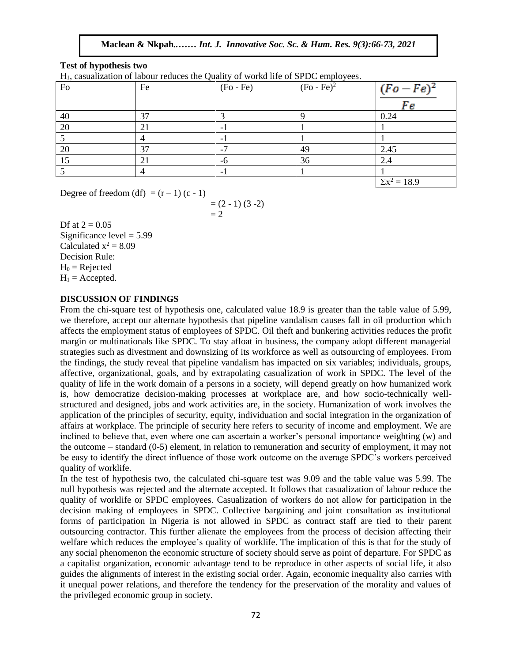#### **Test of hypothesis two**

 $H_1$ , casualization of labour reduces the Quality of workd life of SPDC employees.

| $\sim$ $\sim$<br>Fo | Fe | $\sim$ $\sim$<br>$(Fo - Fe)$ | - -<br>$(Fo - Fe)^2$ | $(Fo - Fe)^2$       |
|---------------------|----|------------------------------|----------------------|---------------------|
|                     |    |                              |                      | Fe                  |
| 40                  | 37 | ◠                            |                      | 0.24                |
| 20                  | 21 |                              |                      |                     |
|                     |    |                              |                      |                     |
| 20                  | 37 |                              | 49                   | 2.45                |
| 15                  | 21 | -6                           | 36                   | 2.4                 |
|                     |    |                              |                      |                     |
|                     |    |                              |                      | $\Sigma x^2 = 18.9$ |

Degree of freedom  $(df) = (r - 1) (c - 1)$ 

$$
= (2 - 1) (3 - 2) \n= 2
$$

Df at  $2 = 0.05$  $Significance level = 5.99$ Calculated  $x^2 = 8.09$ Decision Rule:  $H_0$  = Rejected  $H_1$  = Accepted.  $\mathsf{e}$  geoted  $\blacksquare$ 

#### **DISCUSSION OF FINDINGS**

From the chi-square test of hypothesis one, calculated value 18.9 is greater than the table value of 5.99, we therefore, accept our alternate hypothesis that pipeline vandalism causes fall in oil production which affects the employment status of employees of SPDC. Oil theft and bunkering activities reduces the profit margin or multinationals like SPDC. To stay afloat in business, the company adopt different managerial strategies such as divestment and downsizing of its workforce as well as outsourcing of employees. From the findings, the study reveal that pipeline vandalism has impacted on six variables; individuals, groups, affective, organizational, goals, and by extrapolating casualization of work in SPDC. The level of the quality of life in the work domain of a persons in a society, will depend greatly on how humanized work is, how democratize decision-making processes at workplace are, and how socio-technically wellstructured and designed, jobs and work activities are, in the society. Humanization of work involves the application of the principles of security, equity, individuation and social integration in the organization of affairs at workplace. The principle of security here refers to security of income and employment. We are inclined to believe that, even where one can ascertain a worker's personal importance weighting (w) and the outcome – standard (0-5) element, in relation to remuneration and security of employment, it may not be easy to identify the direct influence of those work outcome on the average SPDC's workers perceived quality of worklife.

In the test of hypothesis two, the calculated chi-square test was 9.09 and the table value was 5.99. The null hypothesis was rejected and the alternate accepted. It follows that casualization of labour reduce the quality of worklife or SPDC employees. Casualization of workers do not allow for participation in the decision making of employees in SPDC. Collective bargaining and joint consultation as institutional forms of participation in Nigeria is not allowed in SPDC as contract staff are tied to their parent outsourcing contractor. This further alienate the employees from the process of decision affecting their welfare which reduces the employee's quality of worklife. The implication of this is that for the study of any social phenomenon the economic structure of society should serve as point of departure. For SPDC as a capitalist organization, economic advantage tend to be reproduce in other aspects of social life, it also guides the alignments of interest in the existing social order. Again, economic inequality also carries with it unequal power relations, and therefore the tendency for the preservation of the morality and values of the privileged economic group in society.